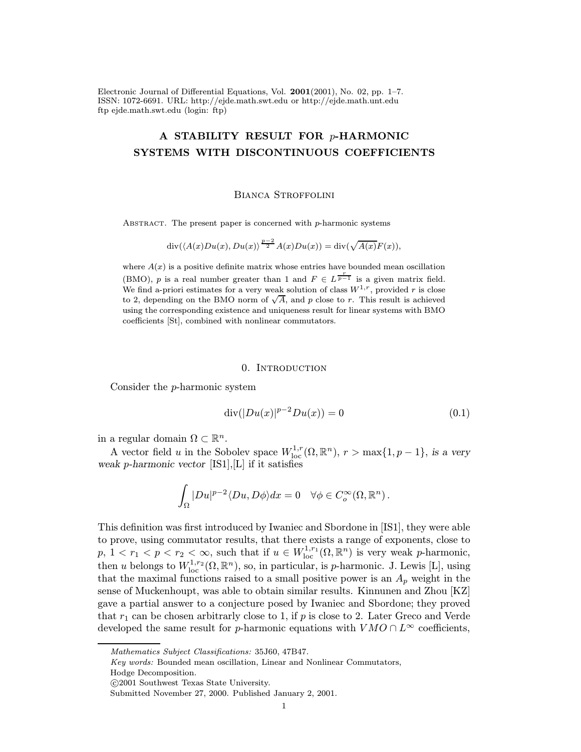Electronic Journal of Differential Equations, Vol. 2001(2001), No. 02, pp. 1–7. ISSN: 1072-6691. URL: http://ejde.math.swt.edu or http://ejde.math.unt.edu ftp ejde.math.swt.edu (login: ftp)

# A STABILITY RESULT FOR p-HARMONIC SYSTEMS WITH DISCONTINUOUS COEFFICIENTS

#### Bianca Stroffolini

ABSTRACT. The present paper is concerned with  $p$ -harmonic systems

$$
\operatorname{div}(\langle A(x)Du(x), Du(x)\rangle^{\frac{p-2}{2}}A(x)Du(x))=\operatorname{div}(\sqrt{A(x)}F(x)),
$$

where  $A(x)$  is a positive definite matrix whose entries have bounded mean oscillation (BMO), p is a real number greater than 1 and  $F \in L^{\frac{r}{p-1}}$  is a given matrix field. We find a-priori estimates for a very weak solution of class  $W^{1,r}$ , provided r is close to 2, depending on the BMO norm of  $\sqrt{A}$ , and p close to r. This result is achieved using the corresponding existence and uniqueness result for linear systems with BMO coefficients [St], combined with nonlinear commutators.

### 0. INTRODUCTION

Consider the p-harmonic system

$$
\operatorname{div}(|Du(x)|^{p-2}Du(x)) = 0 \tag{0.1}
$$

in a regular domain  $\Omega \subset \mathbb{R}^n$ .

A vector field u in the Sobolev space  $W^{1,r}_{loc}(\Omega,\mathbb{R}^n)$ ,  $r > \max\{1,p-1\}$ , is a very weak p-harmonic vector  $[IS1], [L]$  if it satisfies

$$
\int_{\Omega} |Du|^{p-2} \langle Du, D\phi \rangle dx = 0 \quad \forall \phi \in C^{\infty}_{o}(\Omega, \mathbb{R}^{n}).
$$

This definition was first introduced by Iwaniec and Sbordone in [IS1], they were able to prove, using commutator results, that there exists a range of exponents, close to  $p, 1 < r_1 < p < r_2 < \infty$ , such that if  $u \in W^{1,r_1}_{loc}(\Omega, \mathbb{R}^n)$  is very weak p-harmonic, then u belongs to  $W^{1,r_2}_{\text{loc}}(\Omega,\mathbb{R}^n)$ , so, in particular, is p-harmonic. J. Lewis [L], using that the maximal functions raised to a small positive power is an  $A_p$  weight in the sense of Muckenhoupt, was able to obtain similar results. Kinnunen and Zhou [KZ] gave a partial answer to a conjecture posed by Iwaniec and Sbordone; they proved that  $r_1$  can be chosen arbitrarly close to 1, if p is close to 2. Later Greco and Verde developed the same result for *p*-harmonic equations with  $VMO \cap L^{\infty}$  coefficients,

Hodge Decomposition.

Mathematics Subject Classifications: 35J60, 47B47.

Key words: Bounded mean oscillation, Linear and Nonlinear Commutators,

c 2001 Southwest Texas State University.

Submitted November 27, 2000. Published January 2, 2001.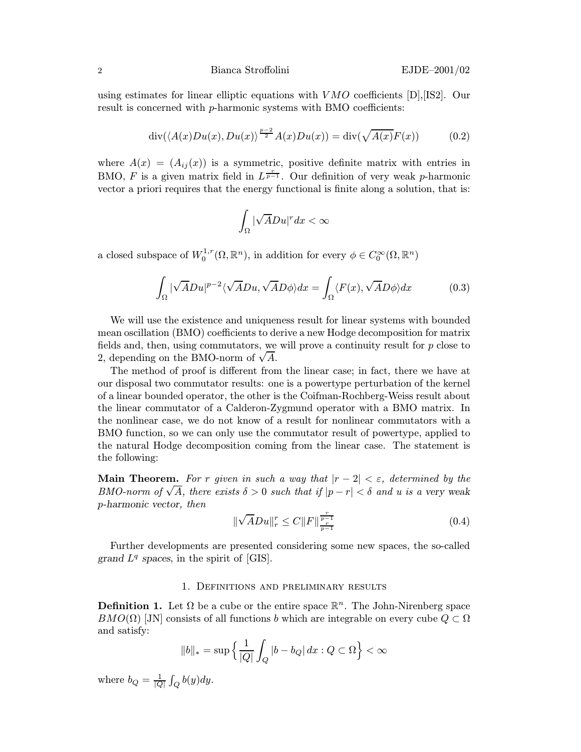## 2 Bianca Stroffolini EJDE–2001/02

using estimates for linear elliptic equations with  $VMO$  coefficients  $[D]$ , [IS2]. Our result is concerned with p-harmonic systems with BMO coefficients:

$$
\operatorname{div}(\langle A(x)Du(x), Du(x)\rangle^{\frac{p-2}{2}}A(x)Du(x)) = \operatorname{div}(\sqrt{A(x)}F(x))\tag{0.2}
$$

where  $A(x)=(A_{ij}(x))$  is a symmetric, positive definite matrix with entries in BMO, F is a given matrix field in  $L^{\frac{r}{p-1}}$ . Our definition of very weak p-harmonic vector a priori requires that the energy functional is finite along a solution, that is:

$$
\int_{\Omega}|\sqrt{A}Du|^{r}dx<\infty
$$

a closed subspace of  $W_0^{1,r}(\Omega,\mathbb{R}^n)$ , in addition for every  $\phi \in C_0^{\infty}(\Omega,\mathbb{R}^n)$ 

$$
\int_{\Omega} |\sqrt{A}Du|^{p-2} \langle \sqrt{A}Du, \sqrt{A}D\phi \rangle dx = \int_{\Omega} \langle F(x), \sqrt{A}D\phi \rangle dx \tag{0.3}
$$

We will use the existence and uniqueness result for linear systems with bounded mean oscillation (BMO) coefficients to derive a new Hodge decomposition for matrix fields and, then, using commutators, we will prove a continuity result for  $p$  close to netas and, then, using commutators, we<br>2, depending on the BMO-norm of  $\sqrt{A}$ .

The method of proof is different from the linear case; in fact, there we have at our disposal two commutator results: one is a powertype perturbation of the kernel of a linear bounded operator, the other is the Coifman-Rochberg-Weiss result about the linear commutator of a Calderon-Zygmund operator with a BMO matrix. In the nonlinear case, we do not know of a result for nonlinear commutators with a BMO function, so we can only use the commutator result of powertype, applied to the natural Hodge decomposition coming from the linear case. The statement is the following:

**Main Theorem.** For r given in such a way that  $|r-2| < \varepsilon$ , determined by the **EXECUTE:** FORT given in such a way that  $|r - 2| < \varepsilon$ , determined by the BMO-norm of  $\sqrt{A}$ , there exists  $\delta > 0$  such that if  $|p - r| < \delta$  and u is a very weak p-harmonic vector, then

$$
\|\sqrt{A}Du\|_{r}^{r} \le C\|F\|\frac{r}{p-1}\right] \tag{0.4}
$$

Further developments are presented considering some new spaces, the so-called grand  $L^q$  spaces, in the spirit of [GIS].

# 1. Definitions and preliminary results

**Definition 1.** Let  $\Omega$  be a cube or the entire space  $\mathbb{R}^n$ . The John-Nirenberg space  $BMO(\Omega)$  [JN] consists of all functions b which are integrable on every cube  $Q \subset \Omega$ and satisfy:

$$
||b||_* = \sup \left\{ \frac{1}{|Q|} \int_Q |b - b_Q| \, dx : Q \subset \Omega \right\} < \infty
$$

where  $b_Q = \frac{1}{|Q|} \int_Q b(y) dy$ .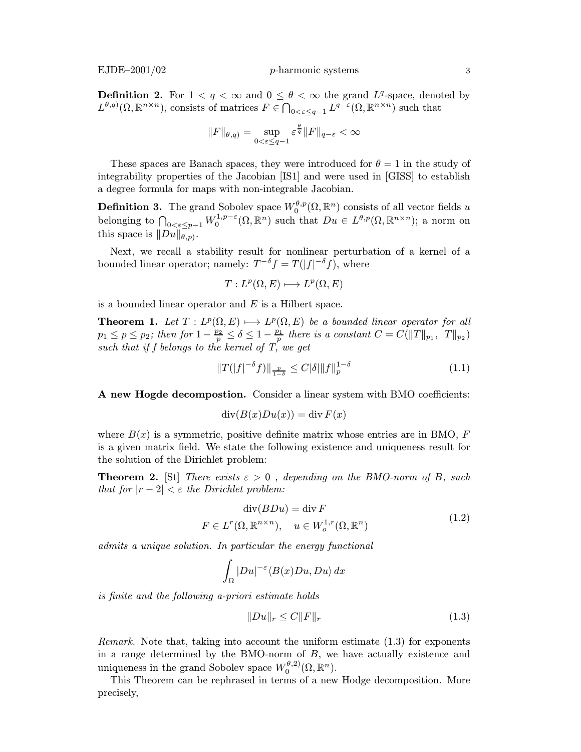**Definition 2.** For  $1 < q < \infty$  and  $0 \le \theta < \infty$  the grand  $L^q$ -space, denoted by  $L^{\theta,q)}(\Omega,\mathbb{R}^{n\times n})$ , consists of matrices  $F\in\bigcap_{0<\varepsilon\leq q-1}L^{q-\varepsilon}(\Omega,\mathbb{R}^{n\times n})$  such that

$$
||F||_{\theta,q} = \sup_{0 < \varepsilon \le q-1} \varepsilon^{\frac{\theta}{q}} ||F||_{q-\varepsilon} < \infty
$$

These spaces are Banach spaces, they were introduced for  $\theta = 1$  in the study of integrability properties of the Jacobian [IS1] and were used in [GISS] to establish a degree formula for maps with non-integrable Jacobian.

**Definition 3.** The grand Sobolev space  $W_0^{\theta,p}(\Omega,\mathbb{R}^n)$  consists of all vector fields u belonging to  $\bigcap_{0<\varepsilon\leq p-1}W_0^{1,p-\varepsilon}(\Omega,\mathbb{R}^n)$  such that  $Du\in L^{\theta,p}(\Omega,\mathbb{R}^{n\times n})$ ; a norm on this space is  $||Du||_{\theta,p}$ .

Next, we recall a stability result for nonlinear perturbation of a kernel of a bounded linear operator; namely:  $T^{-\delta} f = T(|f|^{-\delta} f)$ , where

$$
T: L^p(\Omega, E) \longrightarrow L^p(\Omega, E)
$$

is a bounded linear operator and  $E$  is a Hilbert space.

**Theorem 1.** Let  $T : L^p(\Omega, E) \longrightarrow L^p(\Omega, E)$  be a bounded linear operator for all  $p_1 \leq p \leq p_2$ ; then for  $1 - \frac{p_2}{p} \leq \delta \leq 1 - \frac{p_1}{p}$  there is a constant  $C = C(||T||_{p_1}, ||T||_{p_2})$ such that if f belongs to the kernel of  $T$ , we get

$$
||T(|f|^{-\delta}f)||_{\frac{p}{1-\delta}} \leq C|\delta|||f||_p^{1-\delta} \tag{1.1}
$$

A new Hogde decompostion. Consider a linear system with BMO coefficients:

$$
\operatorname{div}(B(x)Du(x))=\operatorname{div} F(x)
$$

where  $B(x)$  is a symmetric, positive definite matrix whose entries are in BMO, F is a given matrix field. We state the following existence and uniqueness result for the solution of the Dirichlet problem:

**Theorem 2.** [St] There exists  $\varepsilon > 0$ , depending on the BMO-norm of B, such that for  $|r-2| < \varepsilon$  the Dirichlet problem:

$$
\operatorname{div}(BDu) = \operatorname{div} F
$$
  

$$
F \in L^{r}(\Omega, \mathbb{R}^{n \times n}), \quad u \in W_{o}^{1,r}(\Omega, \mathbb{R}^{n})
$$
 (1.2)

admits a unique solution. In particular the energy functional

$$
\int_{\Omega} |Du|^{-\varepsilon} \langle B(x)Du, Du \rangle \, dx
$$

is finite and the following a-priori estimate holds

$$
||Du||_r \le C||F||_r \tag{1.3}
$$

Remark. Note that, taking into account the uniform estimate (1.3) for exponents in a range determined by the BMO-norm of  $B$ , we have actually existence and uniqueness in the grand Sobolev space  $W_0^{\theta,2)}(\Omega,\mathbb{R}^n)$ .

This Theorem can be rephrased in terms of a new Hodge decomposition. More precisely,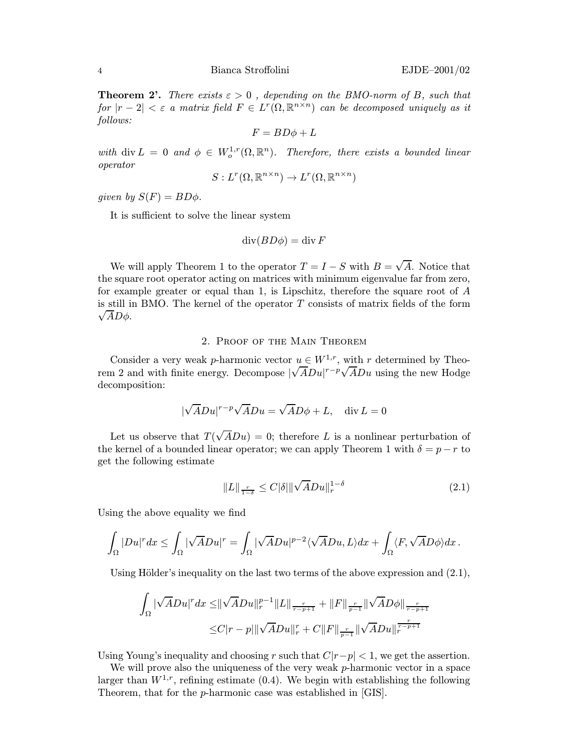**Theorem 2'.** There exists  $\varepsilon > 0$ , depending on the BMO-norm of B, such that for  $|r - 2| < \varepsilon$  a matrix field  $F \in L^r(\Omega, \mathbb{R}^{n \times n})$  can be decomposed uniquely as it follows:

$$
F = BD\phi + L
$$

with div  $L = 0$  and  $\phi \in W_0^{1,r}(\Omega, \mathbb{R}^n)$ . Therefore, there exists a bounded linear operator

$$
S: L^r(\Omega, \mathbb{R}^{n \times n}) \to L^r(\Omega, \mathbb{R}^{n \times n})
$$

given by  $S(F) = BD\phi$ .

It is sufficient to solve the linear system

$$
\operatorname{div}(BD\phi) = \operatorname{div} F
$$

We will apply Theorem 1 to the operator  $T = I - S$  with  $B = \sqrt{A}$ . Notice that the square root operator acting on matrices with minimum eigenvalue far from zero, for example greater or equal than 1, is Lipschitz, therefore the square root of A is still in BMO. The kernel of the operator T consists of matrix fields of the form  $\sqrt{AD\phi}$ .

## 2. Proof of the Main Theorem

Consider a very weak p-harmonic vector  $u \in W^{1,r}$ , with r determined by Theorem 2 and with finite energy. Decompose  $\sqrt{A}Du|^{r-p}\sqrt{A}Du$  using the new Hodge decomposition:

$$
|\sqrt{A}Du|^{r-p}\sqrt{A}Du = \sqrt{A}D\phi + L, \quad \text{div}\,L = 0
$$

Let us observe that  $T(\sqrt{A}Du) = 0$ ; therefore L is a nonlinear perturbation of the kernel of a bounded linear operator; we can apply Theorem 1 with  $\delta = p - r$  to get the following estimate

$$
||L||_{\frac{r}{1-\delta}} \le C|\delta| ||\sqrt{A}Du||_{r}^{1-\delta}
$$
\n(2.1)

Using the above equality we find

$$
\int_{\Omega}|Du|^{r}dx\leq \int_{\Omega}|\sqrt{A}Du|^{r}=\int_{\Omega}|\sqrt{A}Du|^{p-2}\langle\sqrt{A}Du,L\rangle dx+\int_{\Omega}\langle F,\sqrt{A}D\phi\rangle dx\,.
$$

Using Hölder's inequality on the last two terms of the above expression and  $(2.1)$ ,

$$
\int_{\Omega} |\sqrt{A}Du|^{r} dx \leq ||\sqrt{A}Du||_{r}^{p-1} ||L||_{\frac{r}{r-p+1}} + ||F||_{\frac{r}{p-1}} ||\sqrt{A}D\phi||_{\frac{r}{r-p+1}} \leq C|r-p|||\sqrt{A}Du||_{r}^{r} + C||F||_{\frac{r}{p-1}} ||\sqrt{A}Du||_{r}^{\frac{r}{r-p+1}}
$$

Using Young's inequality and choosing r such that  $C|r-p| < 1$ , we get the assertion.

We will prove also the uniqueness of the very weak p-harmonic vector in a space larger than  $W^{1,r}$ , refining estimate (0.4). We begin with establishing the following Theorem, that for the p-harmonic case was established in [GIS].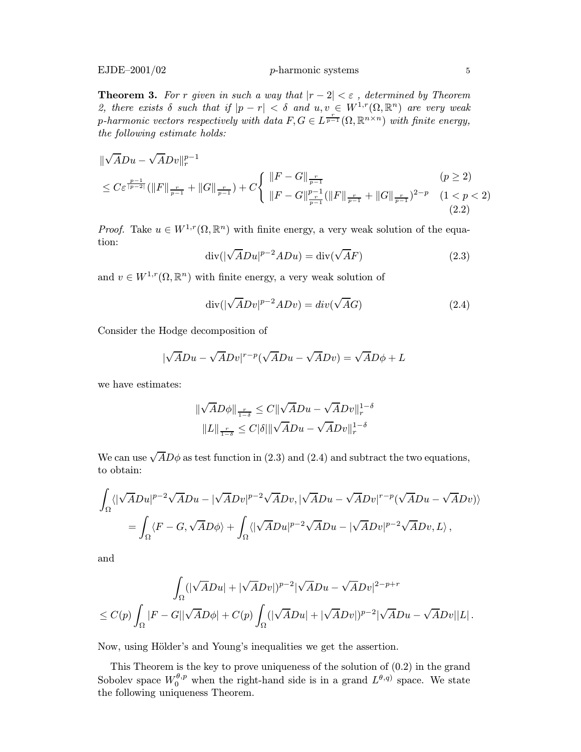**Theorem 3.** For r given in such a way that  $|r-2| < \varepsilon$ , determined by Theorem 2, there exists  $\delta$  such that if  $|p - r| < \delta$  and  $u, v \in W^{1,r}(\Omega, \mathbb{R}^n)$  are very weak p-harmonic vectors respectively with data  $F, G \in L^{\frac{r}{p-1}}(\Omega,\mathbb{R}^{n \times n})$  with finite energy, the following estimate holds:

$$
\begin{split} &\|\sqrt{A}Du - \sqrt{A}Dv\|_{r}^{p-1} \\ &\leq C\varepsilon^{\frac{p-1}{p-2}}(\|F\|_{\frac{r}{p-1}} + \|G\|_{\frac{r}{p-1}}) + C\left\{\begin{array}{l}\|F - G\|_{\frac{r}{p-1}} \\ &\|F - G\|_{\frac{r}{p-1}}^{p-1}(\|F\|_{\frac{r}{p-1}} + \|G\|_{\frac{r}{p-1}})^{2-p} & (1 < p < 2) \\ & (2.2) \end{array}\right. \end{split}
$$

*Proof.* Take  $u \in W^{1,r}(\Omega, \mathbb{R}^n)$  with finite energy, a very weak solution of the equation: √

$$
\operatorname{div}(|\sqrt{A}Du|^{p-2}ADu) = \operatorname{div}(\sqrt{A}F)
$$
\n(2.3)

and  $v \in W^{1,r}(\Omega, \mathbb{R}^n)$  with finite energy, a very weak solution of

$$
\operatorname{div}(|\sqrt{A}Dv|^{p-2}ADv) = \operatorname{div}(\sqrt{A}G)
$$
\n(2.4)

Consider the Hodge decomposition of

$$
|\sqrt{A}Du - \sqrt{A}Dv|^{r-p}(\sqrt{A}Du - \sqrt{A}Dv) = \sqrt{A}D\phi + L
$$

we have estimates:

$$
\|\sqrt{A}D\phi\|_{\frac{r}{1-\delta}} \le C\|\sqrt{A}Du - \sqrt{A}Dv\|_{r}^{1-\delta}
$$
  

$$
\|L\|_{\frac{r}{1-\delta}} \le C|\delta|\|\sqrt{A}Du - \sqrt{A}Dv\|_{r}^{1-\delta}
$$

We can use  $\sqrt{A}D\phi$  as test function in (2.3) and (2.4) and subtract the two equations, to obtain:

$$
\int_{\Omega} \langle |\sqrt{A}Du|^{p-2}\sqrt{A}Du - |\sqrt{A}Dv|^{p-2}\sqrt{A}Dv, |\sqrt{A}Du - \sqrt{A}Dv|^{r-p}(\sqrt{A}Du - \sqrt{A}Dv)\rangle
$$
  
= 
$$
\int_{\Omega} \langle F - G, \sqrt{A}D\phi \rangle + \int_{\Omega} \langle |\sqrt{A}Du|^{p-2}\sqrt{A}Du - |\sqrt{A}Dv|^{p-2}\sqrt{A}Dv, L\rangle,
$$

and

$$
\int_{\Omega} (|\sqrt{A}Du| + |\sqrt{A}Dv|)^{p-2} |\sqrt{A}Du - \sqrt{A}Dv|^{2-p+r}
$$
  

$$
\leq C(p) \int_{\Omega} |F - G||\sqrt{A}D\phi| + C(p) \int_{\Omega} (|\sqrt{A}Du| + |\sqrt{A}Dv|)^{p-2} |\sqrt{A}Du - \sqrt{A}Dv||L|.
$$

Now, using Hölder's and Young's inequalities we get the assertion.

This Theorem is the key to prove uniqueness of the solution of (0.2) in the grand Sobolev space  $W_0^{\theta,p}$  when the right-hand side is in a grand  $L^{\theta,q}$  space. We state the following uniqueness Theorem.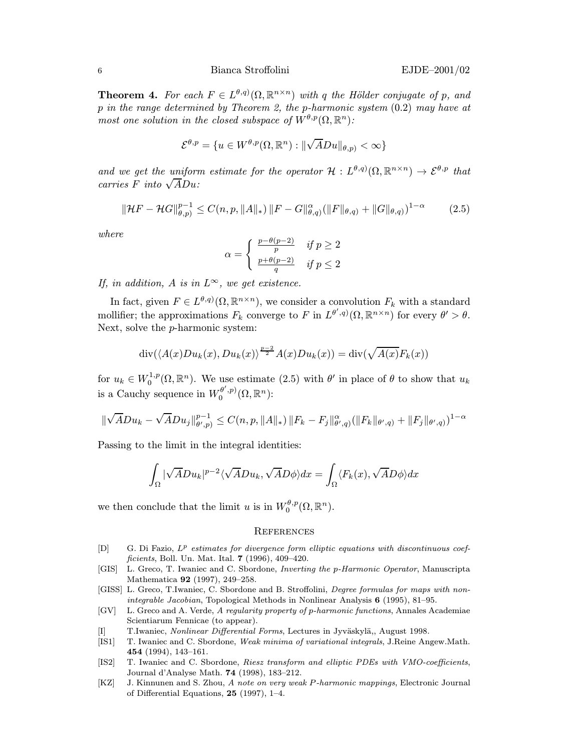## 6 Bianca Stroffolini EJDE–2001/02

**Theorem 4.** For each  $F \in L^{\theta,q}(\Omega,\mathbb{R}^{n\times n})$  with q the Hölder conjugate of p, and p in the range determined by Theorem 2, the p-harmonic system (0.2) may have at most one solution in the closed subspace of  $W^{\theta,p}(\Omega,\mathbb{R}^n)$ :

$$
\mathcal{E}^{\theta,p} = \{u \in W^{\theta,p}(\Omega,\mathbb{R}^n): \|\sqrt{A}Du\|_{\theta,p)} < \infty\}
$$

and we get the uniform estimate for the operator  $\mathcal{H}: L^{\theta,q}(\Omega,\mathbb{R}^{n\times n}) \to \mathcal{E}^{\theta,p}$  that ana we get the uniform<br>carries F into  $\sqrt{A}Du$ :

$$
\|\mathcal{H}F - \mathcal{H}G\|_{\theta,p}^{p-1} \le C(n,p, \|A\|_*) \, \|F - G\|_{\theta,q}^{\alpha} (\|F\|_{\theta,q}) + \|G\|_{\theta,q})^{1-\alpha} \tag{2.5}
$$

where

$$
\alpha = \begin{cases} \frac{p-\theta(p-2)}{p} & \text{if } p \ge 2\\ \frac{p+\theta(p-2)}{q} & \text{if } p \le 2 \end{cases}
$$

If, in addition, A is in  $L^{\infty}$ , we get existence.

In fact, given  $F \in L^{\theta,q}(\Omega,\mathbb{R}^{n\times n})$ , we consider a convolution  $F_k$  with a standard mollifier; the approximations  $F_k$  converge to F in  $L^{\theta',q}(\Omega,\mathbb{R}^{n\times n})$  for every  $\theta' > \theta$ . Next, solve the p-harmonic system:

$$
\operatorname{div}(\langle A(x)Du_k(x), Du_k(x)\rangle^{\frac{p-2}{2}}A(x)Du_k(x)) = \operatorname{div}(\sqrt{A(x)}F_k(x))
$$

for  $u_k \in W_0^{1,p}(\Omega,\mathbb{R}^n)$ . We use estimate  $(2.5)$  with  $\theta'$  in place of  $\theta$  to show that  $u_k$ is a Cauchy sequence in  $W_0^{\theta',p)}(\Omega,\mathbb{R}^n)$ :

$$
\|\sqrt{A}Du_k-\sqrt{A}Du_j\|_{\theta',p}^{p-1}\leq C(n,p,\|A\|_*)\,\|F_k-F_j\|_{\theta',q)}^{\alpha}(\|F_k\|_{\theta',q})+\|F_j\|_{\theta',q})^{1-\alpha}
$$

Passing to the limit in the integral identities:

$$
\int_{\Omega} |\sqrt{A}Du_k|^{p-2}\langle \sqrt{A}Du_k, \sqrt{A}D\phi\rangle dx = \int_{\Omega} \langle F_k(x), \sqrt{A}D\phi \rangle dx
$$

we then conclude that the limit u is in  $W_0^{\theta,p}(\Omega,\mathbb{R}^n)$ .

## **REFERENCES**

- $[D]$  G. Di Fazio,  $L^p$  estimates for divergence form elliptic equations with discontinuous coefficients, Boll. Un. Mat. Ital. 7 (1996), 409–420.
- [GIS] L. Greco, T. Iwaniec and C. Sbordone, Inverting the p-Harmonic Operator, Manuscripta Mathematica 92 (1997), 249–258.
- [GISS] L. Greco, T.Iwaniec, C. Sbordone and B. Stroffolini, Degree formulas for maps with nonintegrable Jacobian, Topological Methods in Nonlinear Analysis 6 (1995), 81–95.
- [GV] L. Greco and A. Verde, A regularity property of p-harmonic functions, Annales Academiae Scientiarum Fennicae (to appear).
- [I] T.Iwaniec, Nonlinear Differential Forms, Lectures in Jyväskylä,, August 1998.
- [IS1] T. Iwaniec and C. Sbordone, Weak minima of variational integrals, J.Reine Angew.Math. 454 (1994), 143–161.
- [IS2] T. Iwaniec and C. Sbordone, Riesz transform and elliptic PDEs with VMO-coefficients, Journal d'Analyse Math. 74 (1998), 183–212.
- [KZ] J. Kinnunen and S. Zhou, A note on very weak P-harmonic mappings, Electronic Journal of Differential Equations, 25 (1997), 1–4.